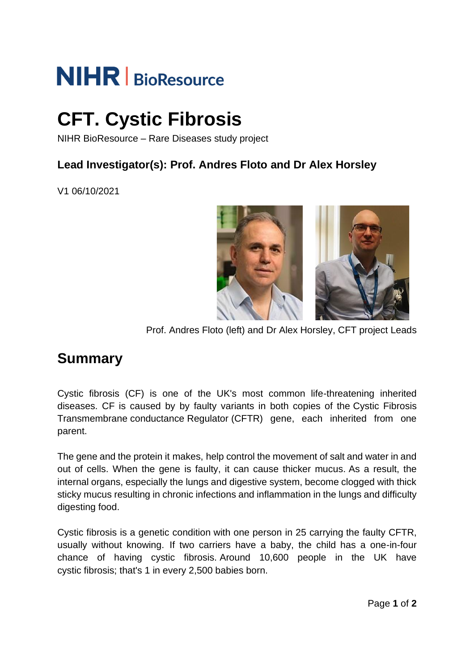# **NIHR** BioResource

# **CFT. Cystic Fibrosis**

NIHR BioResource – Rare Diseases study project

#### **Lead Investigator(s): Prof. Andres Floto and Dr Alex Horsley**

V1 06/10/2021



Prof. Andres Floto (left) and Dr Alex Horsley, CFT project Leads

### **Summary**

Cystic fibrosis (CF) is one of the UK's most common life-threatening inherited diseases. CF is caused by by faulty variants in both copies of the Cystic Fibrosis Transmembrane conductance Regulator (CFTR) gene, each inherited from one parent.

The gene and the protein it makes, help control the movement of salt and water in and out of cells. When the gene is faulty, it can cause thicker mucus. As a result, the internal organs, especially the lungs and digestive system, become clogged with thick sticky mucus resulting in chronic infections and inflammation in the lungs and difficulty digesting food.

Cystic fibrosis is a genetic condition with one person in 25 carrying the faulty CFTR, usually without knowing. If two carriers have a baby, the child has a one-in-four chance of having cystic fibrosis. Around 10,600 people in the UK have cystic fibrosis; that's 1 in every 2,500 babies born.